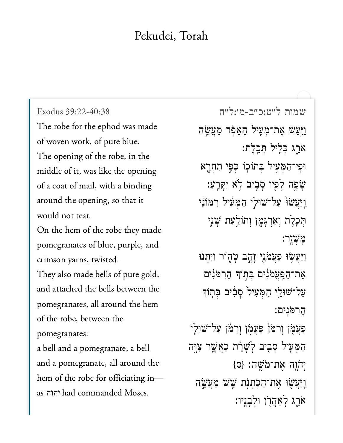## Pekudei, Torah

Exodus 39:22-40:38 The robe for the ephod was made of woven work, of pure blue. The opening of the robe, in the middle of it, was like the opening of a coat of mail, with a binding around the opening, so that it would not tear.

On the hem of the robe they made pomegranates of blue, purple, and crimson yarns, twisted.

They also made bells of pure gold, and attached the bells between the pomegranates, all around the hem of the robe, between the pomegranates:

and a pomegranate, and a point  $\frac{1}{1}$  around the set of  $\frac{1}{1}$  and  $\frac{1}{1}$  around the set of  $\frac{1}{1}$  and  $\frac{1}{1}$ and a pomegranate, all around the hem of the robe for officiating i<br>as יהוה had commanded Moses.

[שמות ל״ט:כ״ב-מ׳:ל״ח](https://www.sefaria.org/Exodus%2039:22-40:38) 39:22-40:38 Exodus וַיֵּעַשׂ אֵת־מְעָיל הָאֵפְד מַעֲשֵׂה  $i$ אֵרֵג כְּלִיל תְּכֵלֵת: וּפֵי־הַמְּעֵיל בִּתוֹכְוֹ כִּפֵי תַחְרָא ָּׁשָׁׁפָּה לְפֵיו סָבְיִב לְא יִקָּרֵעַ: ַוְיַעֲשׂוּׂ עַל־שׁוּלֵי הַמְּעָוֹל רִמּוֹ<mark>נ</mark>ֵי הְּכֵלֶת וְאַרְגָּמֶן וְתוֹלֵעַת שָׁנֵי ׇמ ְׁש ָֽזר׃ וַיַּעֲשָׂוּ פַעֲמֹגֵי זָהֶב טָהֶוֹר וַיִּתְנוּ אֶת־הַפַּעֲמֹּנִים בִּתְוֹךְ הָרִמֹּנִים ַעֲל־שׁוּלֵי הַמְּעִיל סָבִיב בִּתְוֹךָ ָרֵמוֹּנֵים: ַפּעֲמָׂן וְרִמ<sup>ַּ</sup>ן פַּעֲמְן וְרִמֹּן עַל־שׁוּלֵי ְּהַמְּעִיל סָבֶיב לְשָׁרֵ֫ת כַּאֲשֱר צָוֶּה  ${p}$ יִה יָהוֶה אֶת־מֹּשֵׁה: ַוַיַּעֲשֵׂוּ אֵת־הַכְּתְנָת שֵׁשׁ מַעֲשֵׂה ֿאֹרֵג לְאַהֲרֹן וּלְבַנֵיו: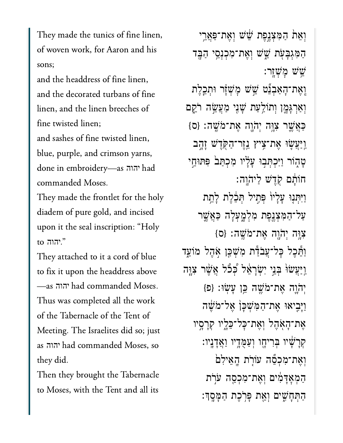They made the tunics of fine linen, of woven work, for Aaron and his  $\mathcal{A}$ 

and the headdress of fine linen, and the decorated turbans of fine  $f(x) = \frac{1}{1} \int_0^1 f(x) dx$ fine twisted linen; and sashes of fine twisted linen, blue, purple, and crimson yarns, commanded Moses.יהוה commanded Moses.

They made the frontlet for the holy diadem of pure gold, and incised upon it<br>"הוה to ...  $T$  at tax cord of blue  $\frac{1}{2}$  cord of blue  $\frac{1}{2}$  cord of blue  $\frac{1}{2}$  cord of blue  $\frac{1}{2}$  cord of blue  $\frac{1}{2}$  cord of blue  $\frac{1}{2}$  cord of blue  $\frac{1}{2}$  cord of blue  $\frac{1}{2}$  cord of blue  $\frac{1}{2}$  cor

They attached to it a cord of blue to fix it upon the headdress above יהוה had commanded Moses.  $\frac{1}{\sqrt{1-\frac{1}{\sqrt{1-\frac{1}{\sqrt{1-\frac{1}{\sqrt{1-\frac{1}{\sqrt{1-\frac{1}{\sqrt{1-\frac{1}{\sqrt{1-\frac{1}{\sqrt{1-\frac{1}{\sqrt{1-\frac{1}{\sqrt{1-\frac{1}{\sqrt{1-\frac{1}{\sqrt{1-\frac{1}{\sqrt{1-\frac{1}{\sqrt{1-\frac{1}{\sqrt{1-\frac{1}{\sqrt{1-\frac{1}{\sqrt{1-\frac{1}{\sqrt{1-\frac{1}{\sqrt{1-\frac{1}{\sqrt{1-\frac{1}{\sqrt{1-\frac{1}{\sqrt{1-\frac{1}{\sqrt{1-\frac{1}{\sqrt{1-\frac{1$ Thus was completed all the work Meeting. The Israelites did so; just $\overline{M}$  community  $\overline{M}$  is the Moses social community  $\overline{M}$  is the Moses social community  $\overline{M}$  is the Moses social community  $\overline{M}$  is the Moses social community  $\overline{M}$  is the Moses social community  $\overline{M}$  $\frac{1}{\sqrt{1-\frac{1}{\sqrt{1-\frac{1}{\sqrt{1-\frac{1}{\sqrt{1-\frac{1}{\sqrt{1-\frac{1}{\sqrt{1-\frac{1}{\sqrt{1-\frac{1}{\sqrt{1-\frac{1}{\sqrt{1-\frac{1}{\sqrt{1-\frac{1}{\sqrt{1-\frac{1}{\sqrt{1-\frac{1}{\sqrt{1-\frac{1}{\sqrt{1-\frac{1}{\sqrt{1-\frac{1}{\sqrt{1-\frac{1}{\sqrt{1-\frac{1}{\sqrt{1-\frac{1}{\sqrt{1-\frac{1}{\sqrt{1-\frac{1}{\sqrt{1-\frac{1}{\sqrt{1-\frac{1}{\sqrt{1-\frac{1}{\sqrt{1-\frac{1$ יהוה  $T = \frac{1}{2}$  the Tabernacle theory brought the Tabernacle theory brought the Tabernacle theory brought the Tabernacle theory brought the Tabernacle theory brought the Tabernacle theory brought the Tabernacle theory brought

Then they brought the Tabernacle to Moses, with the Tent and all its

וְאֵת הַמְּצָנֵפֶת *ְּשֵׁ*יֹשׁ וְאֵת־פַּאֲרֵי ַהִּמְגָּבֹ֖עת ֵׁ֑שׁש ְוֶאת־ִמְכְנֵ֥סי ַהָּ֖בד ֵׁ֥שׁש ׇמְׁשָֽזר׃ וְאֶת־הָאֲבְנֵט שֵׁשׁ מְּשָׁזָר וּתְכֵלֶת וְאַרִגָּמֶן וְתוֹלֵעַת שָׁנֵי מַעֲשֶׂה רֹ<u>ק</u>ָם  $\{$ כַּאֲשֱר צְוָּה יְהֹוֶה אֶת־מֹּשֱה: {ס ַוְיַּעֲשֶׂוּ אֵת־צִיץ ְיֵזר־הַקְדֵשׁ זָהֶב ָטְהָוֹר וַיִּכְתְּבִוּ עָלָיו מְכָתַּב פִּתוּחֵי חוֹתם קַדָּשׁ לַיהוַה: וַיִּתְּנִוּ עֲלֵיוֹ פְּחֵיל תְּבֶ֫לֶת לַחֵת ַעל־ַהִּמְצֶ֖נֶפת ִמְלָ֑מְעָלה ַּכֲאֶׁ֛שר  ${z}$ וָּה יְהֹוֶה אֲת־מֹּשֵׁה: {ס וַתֵּכִל כָּל־עֲבֹדַּת מְשִׁכֵּן אָהֵל מוֹעֵד ַוְיַּעֲשׂוֹ בְּנֵי יִשְׂרָאֵל כְּכֹל אֲשֶׁר צְוָה  ${}_{1}$ יְהֹוֵה אֶת־מֹּשֶׁה כֵּוְ עַשְׂוּ: {פ וַיָּבִיאוּ אֱת־הַמְּשָׁכַן אֱל־מֹשֶׁה ְאֶת־הָאָהֶל וְאֱת־כָּל־כֶּלֵיוּ קְרַסֵיו ְקָרָׁ֔שיו ְּבִריָ֖חו ְוַעֻּמָ֥דיו ַוֲאָדָֽניו׃ וְאֶת־מְכְםֶۢה עֹוֹרָת הֲאֵילִם הַמְאָדָּמִים וְאֶת־מְכְסֵה עֹרִת ַהְתִּחָשִׁ֣יִּם וְאֵֽת פָּרְכֶת הַמָּסֶֽךָ׃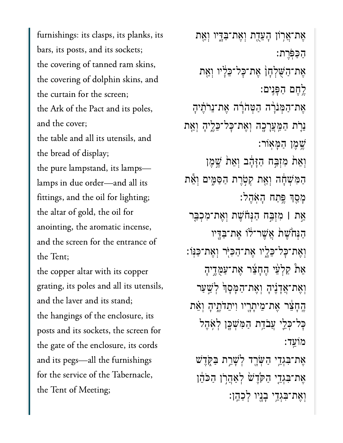furnishings: its clasps, its planks, its bars, its posts, and its sockets; the covering of tanned ram skins, the covering of dolphin skins, and the curtain for the screen; the Ark of the Pact and its poles, and the cover; the table and all its utensils, and the bread of display; the pure lampstand, its lamps lamps in due order-and all its fittings, and the oil for lighting; the altar of gold, the oil for anointing, the aromatic incense,  $\begin{array}{c} \hline \end{array}$  $t \sim T$ the copper altar with its copper grating, its poles and all its utensils, and the laver and its stand; the hangings of the enclosure, its  $\begin{array}{ccc} 0 & 0 \\ 1 & 1 \end{array}$ the gate of the enclosure, its cords and its pegs-all the furnishings for the service of the Tabernacle, the Tent of Meeting;

אֶת־אֲרֹוֹן הַעֲדֶת וְאֶת־בַּדֵּיו וְאֵת ַהַּכֹּֽפֶרת׃ אֵת־הַשָּׁלְחָן אֶת־כָּל־כֵּלְ<sup>י</sup>ו וְאֵת ֶ֥לֶחם ַהָּפִֽנים׃ אֵת־הַמְּנֹרָה הַטְּהֹרָה אֶת־נֵרֹתֶ<mark>ֽ</mark>יהָ ֵנֹ֛רת ַהַּֽמֲעָרָ֖כה ְוֶאת־ׇּכל־ֵּכֶ֑ליָה ְוֵ֖את ַּישֵמֶן הַמַּאוֹר: וְאֵת מִזְבַּח הַיָּהָב וְאֵת שֵׁמֵן הַמִּשְׁחָה וְאֵת קְטָרֶת הַסַּמֵּים וְאֵת ָמַ֖סְך ֶּ֥פַתח ָהֹֽאֶהל׃ ֵ֣את **׀** ִמְזַּ֣בח ַהְּנֹ֗חֶׁשת ְוֶאת־ִמְכַּ֤בר הַנְּחֹשֵׁת אֲשֶׁר־לֹוֹ אֱת־בַּדִּיו ּוְאֶת־כָּל־כֵּלֵיו אֶת־הַכִּיּֽר וְאֵת־כַּנְּוֹ: ֵא֩ת ַקְלֵ֨עי ֶהָחֵ֜צר ֶאת־ַעֻּמֶ֣דיָה וְאֶת־אֲדָנִיהָ וְאֶת־הַמָּסָךְ לְשֵׁעַר ֶֽהָחֵ֔צר ֶאת־ֵמיָתָ֖ריו ִויֵתֹדֶ֑תיָה ְוֵ֗את ֿכַּל־כִּלֵי עֲבֹדֵת הַמְּשָׁכֶּן לְאָהֶל מֹוֵֽעד׃ אֶת־בִּגְדֵי הַשָּׂרֵד לְשָׁרֵת בַּקְ*רֵ*ּשׁ ָאֶת־בִּגְדֵי הַקְּדֵשׁ לְאֲהָרֹן הַכֹּהֵ֫ן ְוֶאת־ִּבְגֵ֥די ָבָ֖ניו ְלַכֵֽהן׃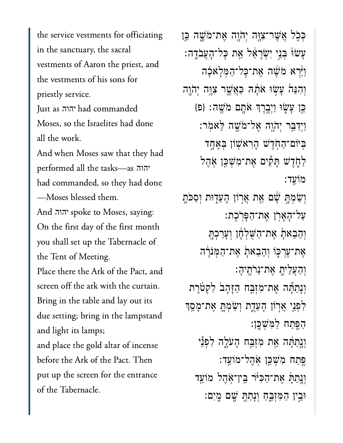the service vestments for officiating in the sanctuary, the sacral vestments of Aaron the priest, and the vestments of his sons for priestly service. moses, so the Israelius had done the Israelius had done the Israelius had done the Israelius had done the Israelius<br>In 1980, so the Israelius had done the Israelius had done the Israelius had done the Israelius had done th יהוה Moses, so the Israelites had done all the work. And when Moses saw that they had  $\begin{array}{cccc} \sim & 1 & 11 & 1 & 1 & \ldots \end{array}$ יהוה had commanded, so they had done יהוה spoke to Moses, saying: -Moses blessed them.  $\Delta$  the first day of the first month  $\Delta$  first month  $\Delta$  first month. On the first day of the first month the Tent of Meeting. The  $\frac{1}{\sqrt{2}}$ the Tent of Meeting. Place there the Ark of the Pact, and screen off the ark with the curtain. Bring in the table and lay out its due setting; bring in the lampstand and light its lamps; and place the gold altar of incense before the Ark of the Pact. Then put up the screen for the entrance of the Tabernacle.

כִּכָּל אֲשֵׁר־צָוֶּה יִהֹוָה אֵת־מֹּשֵׁה בֵּן ָעַשׂוּ בְּנֵי יְשָׂרַאֵל אֵת כַּל־הָעֲבֹדֵה: ֿוַיַּ֫רָא מֹשֶׁה אֶת־כָּל־הַמְּלְאַבָה וְהִנֵּה עַשְׂוּ אֹתָה כַּאֲשֶׁר צְוֶּה יְהֹוֶה  ${}_{2}$ ְבֵּן עָשָׂוּ וַיְבְרֶךְ אֹתָם מֹּשֵׁה: {פ ַוְיִדַּבֵּר יְהֹוֶה אֱל־מֹּשֶׁה לֵאמִר: ּבִּיֹוֹם־הַחְדֵ<sup>יַ</sup>שׁ הָרִאשְׁוֹן בִּאֶחֶד לַחְדֵשׁ תַּקִּיִם אֱת־מְשָׁכֵּן אָהֶל מֹוֵֽעד׃ וְשָׂמְתֵּ שָׁם אֵת אֲרְוֹן הָעֲדָוּת וְסַכֹּתָ ַעל־הָאָרן אֶת־הַפְּרֹכֶת: וְהֶבֶאתַ אֶת־הַשָּׁלְחָן וְעַרְכְתָּ ָאֶת־עֲרִכְּוֹ וְהֶבָאתָׂ אֶת־הַמְּנִרָּה ְוַהֲעֵליָ֖ת ֶאת־ֵנֹרֶֽתיָה׃ וְנָתַתְּ֫ה אֶת־מִזְבַּח הַזָּהָבֹ לִקְטֹרֵת ַלְפָּנֵי אֲרוֹן הָעֵדֶת וְשַׂמְהֳָ אֶת־מָּסָך ַהֶּ֖פַתח ַלִּמְׁשָּֽכן׃ וְנְתַתְּ֫ה אֶת מִזְבַּח הָעֹלֶה לִפִּנֵּי ָפֵּתַח מְ*יֹ*שְׁכֵּ֣ן אֹהֶל־מֹוֹעֵד: וְנַתַּתַּ אֶת־הַכְּיֹּר בֵּין־אָהֶל מוֹעֵד ּוֵ֣בין ַהִּמְזֵּ֑בַח ְוָנַתָּ֥ת ָׁ֖שם ָֽמִים׃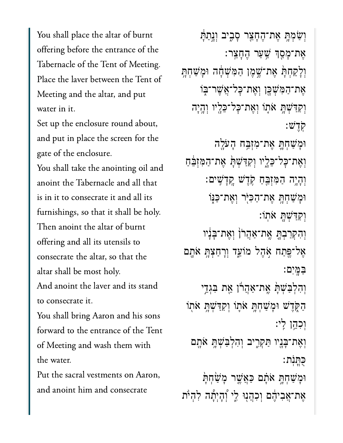You shall place the altar of burnt offering before the entrance of the Tabernacle of the Tent of Meeting.  $\mathbf{D}$  and  $\mathbf{D}$  and  $\mathbf{D}$  and  $\mathbf{D}$  and  $\mathbf{D}$  and  $\mathbf{D}$  and  $\mathbf{D}$  and  $\mathbf{D}$  and  $\mathbf{D}$  and  $\mathbf{D}$  and  $\mathbf{D}$  and  $\mathbf{D}$  and  $\mathbf{D}$  and  $\mathbf{D}$  and  $\mathbf{D}$  and  $\mathbf{D}$  and  $\mathbf{D}$  and Meeting and the altar, and put  $\mathbf{S}$  up the encoderation about  $\mathbf{S}$ 

Set up the enclosure round about, and put in place the screen for the gate of the enclosure.

You shall take the anointing oil and anoint the Tabernacle and all that is in it to consecrate it and all its furnishings, so that it shall be holy. Then anoint the altar of burnt offering and all its utensils to consecrate the altar, so that the altar shall be most holy. And anoint the laver and its stand

to consecrate it.

.<br>You shall bring Aaron and his sons<br>forward to the entrance of the Tent forward to the entrance of the Tent  $\frac{1}{\sqrt{1-\frac{1}{\sqrt{1-\frac{1}{\sqrt{1-\frac{1}{\sqrt{1-\frac{1}{\sqrt{1-\frac{1}{\sqrt{1-\frac{1}{\sqrt{1-\frac{1}{\sqrt{1-\frac{1}{\sqrt{1-\frac{1}{\sqrt{1-\frac{1}{\sqrt{1-\frac{1}{\sqrt{1-\frac{1}{\sqrt{1-\frac{1}{\sqrt{1-\frac{1}{\sqrt{1-\frac{1}{\sqrt{1-\frac{1}{\sqrt{1-\frac{1}{\sqrt{1-\frac{1}{\sqrt{1-\frac{1}{\sqrt{1-\frac{1}{\sqrt{1-\frac{1}{\sqrt{1-\frac{1}{\sqrt{1-\frac{1}{\sqrt{1-\frac{1$  $\mathbf{v}$ 

Put the sacral vestments on Aaron, and anoint him and consecrate

וְשַׂמְהָ אֶת־הֶחָצֵר סָבָיב וְנָתַתָּ ָאֶת־מֶּסְךָ שֵׁעַר הֶחָצֵר: וְלָקַחְתְּ אֶת־שֶׁמֶן הַמִּשְׁחָה וּמָשַׁחְתָּ **ְאֶת־הַמִּשִׁכֶּן וְאֶת־כָּל־אֲשֶׁר־בְּוֹ** וְקִדַּשְׁתָּ אֹתֶוֹ וְאֶת־כָּל־כֵּלֶיו וְהֶיָה ֹֽקֶדׁש׃ ּוָמַׁשְחָּ֛ת ֶאת־ִמְזַּ֥בח ָהֹעָ֖לה וְאֶת־כָּל־כֵּלֶיו וְקִדַּשְׁתָּ אֶת־הַמִּזְבֵּחַ ְוָהָ֥יה ַהִּמְזֵּ֖בַח ֹ֥קֶדׁש ׇֽקָדִֽׁשים׃ וּמַשָּׁחָתֵּ אֶת־הַכִּיּׂר וְאֶת־כַּנִּוֹ ְוִקַּדְׁשָּ֖ת ֹאֽתֹו׃ וְהִקְרַבְתָּ אֱת־אַהֲרֹן וְאֶת־בָּנָ<del>ּ</del>יו אַל־פֵּתַח אִׂהֵל מֹוֹעֵד וְרָחַצְהָ אֹתֶם ַּבָּֽמִים׃ וְהִלְבַּשִׁתָּ אֱת־אַהֲרוֹ אֶת בִּגְדֵי הַקֶּדֵּשׁ וּמָשְׁחָתָ **אֹ**תֲוֹ וְקִדַּשְׁתָּ אֹתְוֹ ְוִכֵ֥הן ִֽלי׃ וְאֶת־בָּנָיו תַּקְרֶיב וְהִלְבַּשְׁתָ<del>ּ</del> אֹתֶם ֻּכֳּתֹֽנת׃ וּמָשָׁחָתָּ אֹתָם כַּאֲשֶר מָשָׂחָתָּ ָאֶת־אֲבִיהֶם וְכְהֲנִוּ לֵי וְהָיִתָה לְהִיֹּת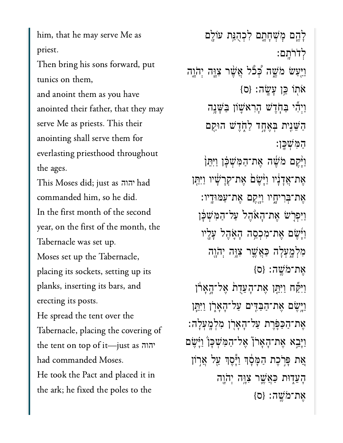him, that he may serve Me as  $T_{\rm eff}$  bring his sons for  $\sigma$ 

Then bring his sons forward, put tunics on them,

and anoint them as you have anointed their father, that they may serve Me as priests. This their anointing shall serve them for everlasting priesthood throughout  $\begin{array}{ccc} 1 & 0 \\ 0 & 1 \end{array}$  $\overline{C}$ commanded him, so he did.

יהוה commanded him, so he did. In the first month of the second year, on the first of the month, the Tabernacle was set up. Moses set up the Tabernacle, placing its sockets, setting up its planks, inserting its bars, and erecting its posts. He spread the tent over the the tent on the tent on the tent on the tent of the tent of the tent of the tent<br>the tent of the tent of the tent of the tent of the tent of the tent of the tent of the tent of the tent of th had commanded Moses.יהוה had commanded Moses. He took the Pact and placed it in the ark; he fixed the poles to the

ַלְהֵם מָּשְׁחָתֶם לְכְהָנֵּת עֹוֹלֵם ְלֹדֹרָֽתם׃ וַיְּעַשׂ מֹשֶׁה כְּכֹּל אֲשֶׁר צְוֶה יְהֹוָה  ${0}$   ${z}$ אֹתוֹ כֵּן עַ ${w}$ ה:  ${0}$ ַוְיִהִّי ּבַּחֶֹדָשׁ הָרִאֹּשָׁוֹן ּבַּשְּׁנָָה ַהֵּׁשִ֖נית ְּבֶאָ֣חד ַלֹ֑חֶדׁש הּוַ֖קם ַהִּמְׁשָּֽכן׃ ֿוַיָּתֵן מֹּשֶׁה אֶת־הַמְּשְׁכָּוְ וַיִּתֵּן אֶת־אֲדַנִ<sup>ּ</sup>יו וַיַּּשֵׁם אֶת־קְרַשָּׂיו וַיִּתֵּן ָאֶת־בִּרִיחָיו וַיַּקֵם אֶת־עַמּוּדָיו: ַוְיִפְרָשׁ אֱת־הָאֹהֶל עַל־הַמְּשָׁבָּן ַוְיָּשֶׂם אֱת־מְכְםֱה הָאֶהֶל עָלֵיו ּמְלָמְעָלָה כַּאֲשֶׁר צְוַּ֣ה יְהֹוֵה  ${S}$ אֶת־מֹּשֱה: {ס וַיִּקַּׁח וַיִּתֵּן אֶת־הָעֲדָת אֶל־הָאָרון וַיְּיֵשֶׁם אֶת־הַבַּדִּים עַל־הָאָרָן וַיִּתֵּֽן  $\,$ אֶת־הַכַּפֶּרֶת עַל־הָאָרְן מִלְמְעָלָה: וַיָּבֵא אֶת־הָאָרֹן אֶל־הַמְּשָׁכַן וַיָּשֵׂם ָּאֶת פְּרִׂכֶת הַמַּּסָׂךְ וַיֵּסֶךְ עֲל אֲרִוֹן ּהֲעֵדִּוּת כַּאֲשֵׁר צְוֶּה יְהֹוֶה  ${S}$ אֶת־מֹּשֶׁה: {ס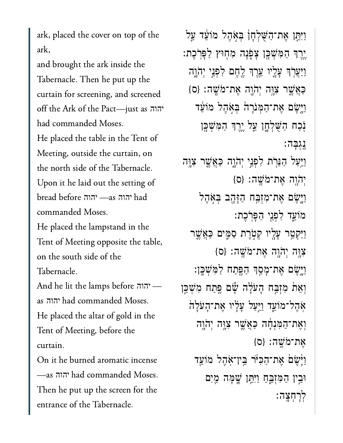ark, placed the cover on top of the  $\frac{1}{1}$ 

and brought the ark inside the Tabernacle. Then he put up the curtain for screening, and screened  $\overline{C}$  and  $\overline{C}$  and  $\overline{C}$ יהוה had commanded Moses. Meeting, outside the curtain, onMeeting, outside the curtain, on the north side of the Tabernacle. bread before —as had $\begin{bmatrix} 1 & 1 & 0 \end{bmatrix}$ יהוה יהוה

He placed the lampstand in the Tent of Meeting opposite the table, on the south side of the  $\Delta$ 

commanded Moses.

 $\begin{array}{ccc} \text{A} & \text{11} & \text{1} & \text{1} & \text{1} & \text{1} & \text{1} & \text{1} & \text{1} & \text{1} & \text{1} & \text{1} & \text{1} & \text{1} & \text{1} & \text{1} & \text{1} & \text{1} & \text{1} & \text{1} & \text{1} & \text{1} & \text{1} & \text{1} & \text{1} & \text{1} & \text{1} & \text{1} & \text{1} & \text{1} & \text{1} & \text{1} & \text{1} & \text{1} & \text{1} & \text$ יהוה יהוה  $\frac{1}{\sqrt{1+\frac{1}{\sqrt{1+\frac{1}{\sqrt{1+\frac{1}{\sqrt{1+\frac{1}{\sqrt{1+\frac{1}{\sqrt{1+\frac{1}{\sqrt{1+\frac{1}{\sqrt{1+\frac{1}{\sqrt{1+\frac{1}{\sqrt{1+\frac{1}{\sqrt{1+\frac{1}{\sqrt{1+\frac{1}{\sqrt{1+\frac{1}{\sqrt{1+\frac{1}{\sqrt{1+\frac{1}{\sqrt{1+\frac{1}{\sqrt{1+\frac{1}{\sqrt{1+\frac{1}{\sqrt{1+\frac{1}{\sqrt{1+\frac{1}{\sqrt{1+\frac{1}{\sqrt{1+\frac{1}{\sqrt{1+\frac{1}{\sqrt{1+\frac{1$ He placed the altar of gold in the Tent of Meeting, before the  $\overline{C}$ 

 יהוה had commanded Moses. On it he burned aromatic incense  $T_{\text{max}}$  is the screen for the screen for the screen for the screen for the screen for the screen for the screen for the screen for the screen for the screen for the screen for the screen for the screen for the screen fo Then he put up the screen for the entrance of the Tabernacle.

וַיִּתֵּן אֵת־הַשָּׁלְחָן בִּאָהֵל מֹוֹעֵד עַל ֶ֥יֶרְך ַהִּמְׁשָּ֖כן ָצֹ֑פָנה ִמ֖חּוץ ַלָּפֹֽרֶכת׃ וַיַּעֲרֹֽךְ עֲלֵיו עֵרֵךְ לֵחֶם לְפְנֵי יְהֹוֵה  ${S}$ ַכְאֲשֶׁר צְוָּה יְהֹוֶה אֲת־מֹּשֵׁה: וַיְּשֶׂם אֶת־הַמְּנִרָה בְּאָהֶל מֹוֹעֵד ּנְכַח הַשֶּׁלְחֶן עֵל יֵרֵךְ הַמְּשָׁכֵּן ֶֽנְגָּבה׃ וַיַּעַל הַנֵּרִת לִפְנֵי יִהֹוָה כַּאֲשֵׁר צָוֵה  ${p}$  (יהוֵה אֲת־מֹּשֵׁה: וַיְּשֶׂם אֶת־מִזְבָּח הַזָּהָב בִּאָהֵל מֹוֵ֑עד ִלְפֵ֖ני ַהָּפֹֽרֶכת׃ וַיַּקִטֵּר עָלֵיו קִטְרֵת סַמֶּים כַּאֲשֵׁר  $\{o\}$ נִה יְהֹוֶה אֶת־מֹּשֵׁה: ַוְיֵּשֵׂם אֶת־מָּםָךְ הַפֵּתַח לַמְּשָׁבֵן: וְאֵת מְזָבֵּח הָעֹלָה שָׁם <u>פֵּ</u>תַח מְשִׁכֵּן ֹאָהֶל־מֹוֹעֵד וַיִּעַל עָלָיו אֶת־הָעֹלָה וְאֶת־הַמְּנָחָׁה כַּאֲשֶׁר צְוַּה יְהֹוֵה  ${o}$  : אַת־מֹּשֱה ${o}$ ַוָּ֙יֶׂש֙ם ֶאת־ַהִּכֹּ֔יר ֵּֽבין־ֹ֥אֶהל מֹוֵ֖עד ּוֵ֣בין ַהִּמְזֵּ֑בַח ַוִּיֵּ֥תן ָׁ֛שָּמה ַ֖מִים ְלׇרְחָֽצה׃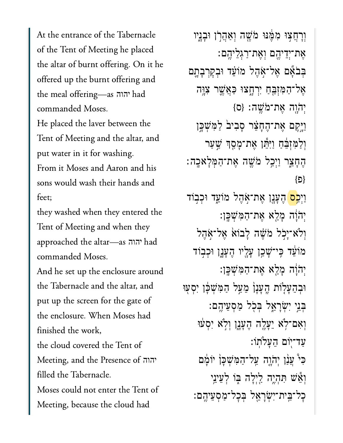At the entrance of the Tabernacle of the Tent of Meeting he placed the altar of burnt offering. On it he offered up the burnt offering and  $\begin{array}{ccc} & & & & 1 \\ 1 & & 1 & C & \end{array}$ יהוה commanded Moses. He placed the laver between the Tent of Meeting and the altar, and put water in it for washing. From it Moses and Aaron and his sons would wash their hands and  $\epsilon$ 

they washed when they entered the Tent of Meeting and when they  $\begin{array}{c} \sim \\ \sim \\ \sim \end{array}$ יהוה commanded Moses. And he set up the enclosure around the Tabernacle and the altar, and  $t = \frac{1}{\sqrt{2}}$ the enclosure. When Moses had finished the work, the cloud covered the Tent of  $\frac{1}{10}$ יהוה filled the Tabernacle.  $M = 11$  because the cloud had Meeting, because the cloud had

וְרָחֲצִוּ מִמֵּ֫נּוּ מֹֹשֵׁה וְאַהֲרֹן וּבָנֵיו ָאֵת־יִדֵיהֵם וְאֵת־רַגְלֵיהֵם: בְּבֹצָּם אֱל־אָהֶל מֹוֹעֵּד וּבְקִרְבָתֱם אֵל־הַמְּזִבֵּחַ יִרְחָצוּ כַּאֲשֵׁר צִוֲּה  ${p}$ יִה יָהוֶה אֶת־מֹּשֵׁה: וַיֵּקֵם אֵת־הֱחָצֶר סַבְיבׂ לַמְּשָׁכֵּן וְלַמְזְבֵּ֫חַ וַיִּתֵּ֫ו אֶת־מָסֵךְ שֲעַר ּהֵחָצֵר וַיְכֲל מֹּשֶׁה אֵת־הַמְּלַאַכֲה: }פ{ וַיִּ<mark>כְם</mark> הֵעֲנֶן אֵת־אָהֵל מֹוֹעֵד וּכִבְוֹד יְהֹוָׁה מָלֵא אֶת־הַמְּשִׁכֵּן: וְלֹא־יַכְל מֹשֶׁה לַבוֹא אֱל־אָהֶל מוֹעֵד כֵּי־שָׁכֵן עַלֵיו הֵעָנֵן וּכִבְוֹד יְהֹוָה מָלֵא אֵת־הַמְּשִׁכֵּן: וּבְהֵעָלָוֹת הֵעָנָן מֵעַל הַמְּשִׁכָּן יִסְעִוּ ִּבְּנֵי יִשְׂרָאֱל בִּכְל מַסְעֵיהֶם: וְאָם־לְא יֵעֲלֵה הֵעֲנֵן וְלְא יִסְעוּ ַעֲד־יִוֹם הֱעֲלֹתוֹ: כִּי ּעֲנַן יִהֹוֶה עֲל־הַמְּשִׁכָּן יוֹמַם וְאֵ֫שׁ תִּהְיֵה לַיִלָּה בְּוֹ לְעֵינֵי כִל־בֵּית־יִשְׂרַאֱל בְּכָל־מַסְעֵיהֱם: